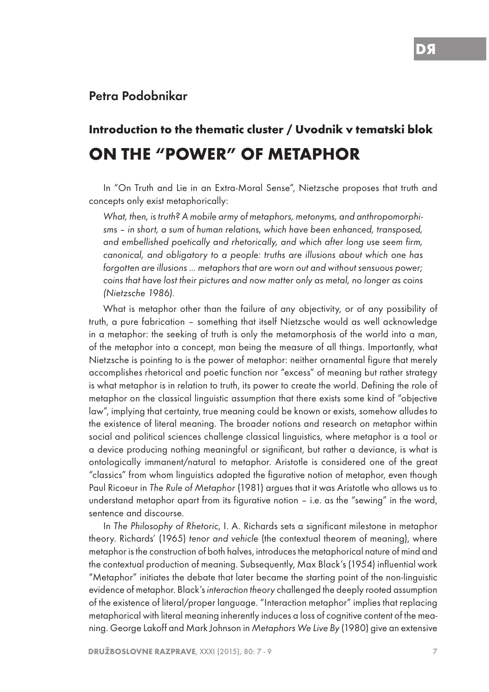## Petra Podobnikar

## **Introduction to the thematic cluster / Uvodnik v tematski blok ON THE "POWER" OF METAPHOR**

In "On Truth and Lie in an Extra-Moral Sense", Nietzsche proposes that truth and concepts only exist metaphorically:

*What, then, is truth? A mobile army of metaphors, metonyms, and anthropomorphisms – in short, a sum of human relations, which have been enhanced, transposed, and embellished poetically and rhetorically, and which after long use seem firm, canonical, and obligatory to a people: truths are illusions about which one has forgotten are illusions ... metaphors that are worn out and without sensuous power; coins that have lost their pictures and now matter only as metal, no longer as coins (Nietzsche 1986).*

What is metaphor other than the failure of any objectivity, or of any possibility of truth, a pure fabrication – something that itself Nietzsche would as well acknowledge in a metaphor: the seeking of truth is only the metamorphosis of the world into a man, of the metaphor into a concept, man being the measure of all things. Importantly, what Nietzsche is pointing to is the power of metaphor: neither ornamental figure that merely accomplishes rhetorical and poetic function nor "excess" of meaning but rather strategy is what metaphor is in relation to truth, its power to create the world. Defining the role of metaphor on the classical linguistic assumption that there exists some kind of "objective law", implying that certainty, true meaning could be known or exists, somehow alludes to the existence of literal meaning. The broader notions and research on metaphor within social and political sciences challenge classical linguistics, where metaphor is a tool or a device producing nothing meaningful or significant, but rather a deviance, is what is ontologically immanent/natural to metaphor. Aristotle is considered one of the great "classics" from whom linguistics adopted the figurative notion of metaphor, even though Paul Ricoeur in *The Rule of Metaphor* (1981) argues that it was Aristotle who allows us to understand metaphor apart from its figurative notion – i.e. as the "sewing" in the word, sentence and discourse.

In *The Philosophy of Rhetoric*, I. A. Richards sets a significant milestone in metaphor theory. Richards' (1965) *tenor and vehicle* (the contextual theorem of meaning), where metaphor is the construction of both halves, introduces the metaphorical nature of mind and the contextual production of meaning. Subsequently, Max Black's (1954) influential work "Metaphor" initiates the debate that later became the starting point of the non-linguistic evidence of metaphor. Black's *interaction theory* challenged the deeply rooted assumption of the existence of literal/proper language. "Interaction metaphor" implies that replacing metaphorical with literal meaning inherently induces a loss of cognitive content of the meaning. George Lakoff and Mark Johnson in *Metaphors We Live By* (1980) give an extensive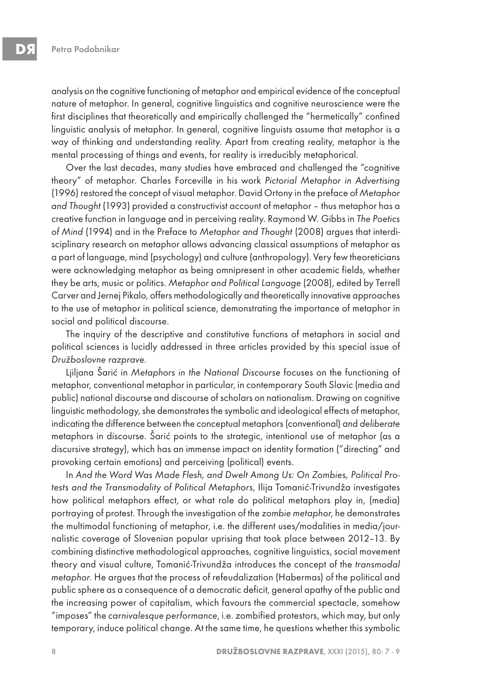analysis on the cognitive functioning of metaphor and empirical evidence of the conceptual nature of metaphor. In general, cognitive linguistics and cognitive neuroscience were the first disciplines that theoretically and empirically challenged the "hermetically" confined linguistic analysis of metaphor. In general, cognitive linguists assume that metaphor is a way of thinking and understanding reality. Apart from creating reality, metaphor is the mental processing of things and events, for reality is irreducibly metaphorical.

Over the last decades, many studies have embraced and challenged the "cognitive theory" of metaphor. Charles Forceville in his work *Pictorial Metaphor in Advertising* (1996) restored the concept of visual metaphor. David Ortony in the preface of *Metaphor and Thought* (1993) provided a constructivist account of metaphor – thus metaphor has a creative function in language and in perceiving reality. Raymond W. Gibbs in *The Poetics of Mind* (1994) and in the Preface to *Metaphor and Thought* (2008) argues that interdisciplinary research on metaphor allows advancing classical assumptions of metaphor as a part of language, mind (psychology) and culture (anthropology). Very few theoreticians were acknowledging metaphor as being omnipresent in other academic fields, whether they be arts, music or politics. *Metaphor and Political Language* (2008), edited by Terrell Carver and Jernej Pikalo, offers methodologically and theoretically innovative approaches to the use of metaphor in political science, demonstrating the importance of metaphor in social and political discourse.

The inquiry of the descriptive and constitutive functions of metaphors in social and political sciences is lucidly addressed in three articles provided by this special issue of *Dru*ž*boslovne razprave*.

Ljiljana Šarić in *Metaphors in the National Discourse* focuses on the functioning of metaphor, conventional metaphor in particular, in contemporary South Slavic (media and public) national discourse and discourse of scholars on nationalism. Drawing on cognitive linguistic methodology, she demonstrates the symbolic and ideological effects of metaphor, indicating the difference between the conceptual metaphors (conventional) and *deliberate* metaphors in discourse. Šarić points to the strategic, intentional use of metaphor (as a discursive strategy), which has an immense impact on identity formation ("directing" and provoking certain emotions) and perceiving (political) events.

In *And the Word Was Made Flesh, and Dwelt Among Us: On Zombies, Political Protests and the Transmodality of Political Metaphors*, Ilija Tomanić-Trivundža investigates how political metaphors effect, or what role do political metaphors play in, (media) portraying of protest. Through the investigation of the *zombie metaphor*, he demonstrates the multimodal functioning of metaphor, i.e. the different uses/modalities in media/journalistic coverage of Slovenian popular uprising that took place between 2012–13. By combining distinctive methodological approaches, cognitive linguistics, social movement theory and visual culture, Tomanić-Trivundža introduces the concept of the *transmodal metaphor.* He argues that the process of refeudalization (Habermas) of the political and public sphere as a consequence of a democratic deficit, general apathy of the public and the increasing power of capitalism, which favours the commercial spectacle, somehow "imposes" the *carnivalesque performance*, i.e. zombified protestors, which may, but only temporary, induce political change. At the same time, he questions whether this symbolic